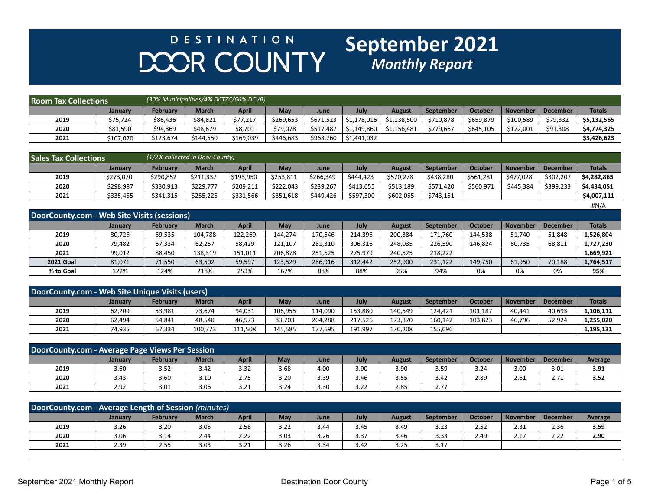## **DESTINATION** DOOR COUNTY

## **September 2021**<br>*Monthly Report*

| <b>Room Tax Collections</b> |           |                 |              | (30% Municipalities/4% DCTZC/66% DCVB) |            |             |            |               |           |                |           |          |               |
|-----------------------------|-----------|-----------------|--------------|----------------------------------------|------------|-------------|------------|---------------|-----------|----------------|-----------|----------|---------------|
|                             | Januarv   | <b>February</b> | <b>March</b> | <b>April</b>                           | <b>May</b> | <b>June</b> | July       | <b>August</b> | September | <b>October</b> | November  | December | <b>Totals</b> |
| 2019                        | \$75,724  | \$86,436        | \$84,821     | \$77,217                               | \$269,653  | \$671,523   | S1.178.016 | \$1.138.500   | \$710,878 | \$659,879      | \$100,589 | \$79,332 | \$5.132.565   |
| 2020                        | \$81,590  | \$94,369        | \$48,679     | \$8,701                                | \$79,078   | \$517.487   | 51,149,860 | \$1.156.481   | \$779.667 | \$645,105      | \$122,001 | \$91,308 | \$4,774,325   |
| 2021                        | \$107,070 | \$123,674       | \$144,550    | \$169,039                              | \$446,683  |             |            |               |           |                |           |          | \$3,426,623   |

| <b>Sales Tax Collections</b> |           | (1/2% collected in Door County) |              |              |           |             |             |               |           |                |                 |            |               |  |
|------------------------------|-----------|---------------------------------|--------------|--------------|-----------|-------------|-------------|---------------|-----------|----------------|-----------------|------------|---------------|--|
|                              | January   | February                        | <b>March</b> | <b>April</b> | May       | <b>June</b> | <b>July</b> | <b>August</b> | September | <b>October</b> | <b>November</b> | l December | <b>Totals</b> |  |
| 2019                         | \$273,070 | \$290,852                       | \$211,337    | \$193,950    | \$253,811 | \$266,349   | \$444.423   | \$570,278     | \$438,280 | \$561,281      | \$477,028       | \$302,207  | \$4,282,865   |  |
| 2020                         | \$298.987 | \$330,913                       | \$229.777    | \$209,211    | \$222,043 | \$239.267   | \$413,655   | \$513,189     | \$571,420 | \$560,971      | \$445.384       | \$399,233  | \$4,434,051   |  |
| 2021                         | \$335,455 | \$341,315                       | \$255,225    | \$331,566    | \$351,618 | \$449,426   | \$597,300   | \$602,055     | \$743,151 |                |                 |            | \$4,007.111   |  |
|                              |           |                                 |              |              |           |             |             |               |           |                |                 |            | H N/A         |  |

| DoorCounty.com - Web Site Visits (sessions) |                |          |              |              |         |         |         |               |           |         |                 |                 |               |
|---------------------------------------------|----------------|----------|--------------|--------------|---------|---------|---------|---------------|-----------|---------|-----------------|-----------------|---------------|
|                                             | <b>January</b> | February | <b>March</b> | <b>April</b> | May     | June    | July    | <b>August</b> | September | October | <b>November</b> | <b>December</b> | <b>Totals</b> |
| 2019                                        | 80,726         | 69,535   | 104,788      | 122,269      | 144.274 | 170,546 | 214.396 | 200,384       | 171,760   | 144,538 | 51,740          | 51,848          | L,526,804     |
| 2020                                        | 79.482         | 67,334   | 62,257       | 58,429       | 121.107 | 281,310 | 306.316 | 248,035       | 226.590   | 146.824 | 60,735          | 68,811          | 1,727,230     |
| 2021                                        | 99.012         | 88,450   | 138,319      | 151,011      | 206.878 | 251.525 | 275.979 | 240.525       | 218,222   |         |                 |                 | 1,669,921     |
| <b>2021 Goal</b>                            | 81,071         | 71,550   | 63,502       | 59,597       | 123,529 | 286,916 | 312.442 | 252,900       | 231,122   | 149,750 | 61,950          | 70,188          | 1,764,517     |
| % to Goal                                   | 122%           | 124%     | 218%         | 253%         | 167%    | 88%     | 88%     | 95%           | 94%       | 0%      | 0%              | 0%              | 95%           |

| DoorCounty.com - Web Site Unique Visits (users) |                |          |              |              |         |         |         |         |                  |                |                 |                 |               |
|-------------------------------------------------|----------------|----------|--------------|--------------|---------|---------|---------|---------|------------------|----------------|-----------------|-----------------|---------------|
|                                                 | <b>January</b> | Februarv | <b>March</b> | <b>April</b> | May     | June    | July    | August  | <b>September</b> | <b>October</b> | <b>November</b> | <b>December</b> | <b>Totals</b> |
| 2019                                            | 62,209         | 53,981   | 73.674       | 94,031       | 106,955 | 114,090 | 153.880 | 140,549 | 124.421          | 101,187        | 40.441          | 40,693          | .,106,111     |
| 2020                                            | 62,494         | 54,841   | 48.540       | 46.573       | 83.703  | 204.288 | 217.526 | 173.370 | 160.142          | 103.823        | 46,796          | 52,924          | .,255,020     |
| 2021                                            | 74,935         | 67,334   | 100,773      | 111,508      | 145,585 | 177,695 | 191,997 | 170,208 | 155,096          |                |                 |                 | L,195,131     |

| DoorCounty.com - Average Page Views Per Session |         |                 |              |              |      |      |      |               |                  |                |                 |          |         |
|-------------------------------------------------|---------|-----------------|--------------|--------------|------|------|------|---------------|------------------|----------------|-----------------|----------|---------|
|                                                 | January | <b>February</b> | <b>March</b> | <b>April</b> | May  | June | July | <b>August</b> | <b>September</b> | <b>October</b> | <b>November</b> | December | Average |
| 2019                                            | 3.60    | 3.52            | 3.42         | 3.32         | 3.68 | 4.00 | 3.90 | 3.90          | 3.59             | 3.24           | 3.00            | 3.01     | 3.91    |
| 2020                                            | 3.43    | 3.60            | 3.10         | 2.75         | 3.20 | 3.39 | 3.46 | 3.55          | 3.42             | 2.89           | 2.61            | 2.71     | 3.52    |
| 2021                                            | 2.92    | 3.01            | 3.06         | 3.21         | 3.24 | 3.30 | 3.22 | 2.85          | 2.77             |                |                 |          |         |

| DoorCounty.com - Average Length of Session (minutes) |         |                    |              |              |      |      |      |               |                  |                |                 |                 |         |
|------------------------------------------------------|---------|--------------------|--------------|--------------|------|------|------|---------------|------------------|----------------|-----------------|-----------------|---------|
|                                                      | Januarv | <b>February</b>    | <b>March</b> | <b>April</b> | May  | June | July | <b>August</b> | <b>September</b> | <b>October</b> | <b>November</b> | <b>December</b> | Average |
| 2019                                                 | 3.26    | 3.20               | 3.05         | 2.58         | 3.22 | 3.44 | 3.45 | 3.49          | 3.23             | 2.52           | 2.31            | 2.36            | 3.59    |
| 2020                                                 | 3.06    | 3.14               | 2.44         | 2.22         | 3.03 | 3.26 | 3.37 | 3.46          | 3.33             | 2.49           | 2.17            | 2.22            | 2.90    |
| 2021                                                 | 2.39    | $\sim$ $-$<br>2.55 | 3.03         | 3.21         | 3.26 | 3.34 | 3.42 | 3.25          | 3.17             |                |                 |                 |         |

 $\sim$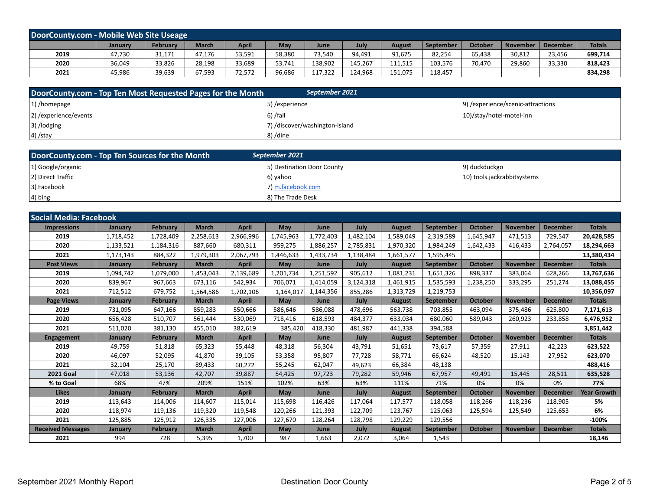| DoorCounty.com - Mobile Web Site Useage |                |          |        |        |        |             |         |         |           |                |        |                     |               |
|-----------------------------------------|----------------|----------|--------|--------|--------|-------------|---------|---------|-----------|----------------|--------|---------------------|---------------|
|                                         | <b>January</b> | February | March  | April  | May    | <b>June</b> | July    | August  | September | <b>October</b> |        | November   December | <b>Totals</b> |
| 2019                                    | 47,730         | 31,171   | 47,176 | 53,591 | 58,380 | 73,540      | 94,491  | 91,675  | 82,254    | 65,438         | 30,812 | 23,456              | 699,714       |
| 2020                                    | 36,049         | 33,826   | 28,198 | 33,689 | 53,741 | 138,902     | 145.267 | 111,515 | 103,576   | 70.470         | 29,860 | 33,330              | 818,423       |
| 2021                                    | 45,986         | 39,639   | 67,593 | 72,572 | 96,686 | 117,322     | 124.968 | 151,075 | 118,457   |                |        |                     | 834,298       |

| DoorCounty.com - Top Ten Most Requested Pages for the Month | September 2021                 |                                   |
|-------------------------------------------------------------|--------------------------------|-----------------------------------|
| $ 1\rangle$ /homepage                                       | 5) / experience                | 9) /experience/scenic-attractions |
| 2) / experience/events                                      | $6)$ /fall                     | 10)/stay/hotel-motel-inn          |
| 3) /lodging                                                 | 7) /discover/washington-island |                                   |
| $(4)$ /stay                                                 | 8)/dine                        |                                   |

| DoorCounty.com - Top Ten Sources for the Month | September 2021             |                             |
|------------------------------------------------|----------------------------|-----------------------------|
| 1) Google/organic                              | 5) Destination Door County | 9) duckduckgo               |
| 2) Direct Traffic                              | 6) yahoo                   | 10) tools.jackrabbitsystems |
| 3) Facebook                                    | 7) m.facebook.com          |                             |
| $(4)$ bing                                     | 8) The Trade Desk          |                             |

| <b>Social Media: Facebook</b> |           |                 |              |              |            |           |           |               |                  |                |                 |                 |                    |
|-------------------------------|-----------|-----------------|--------------|--------------|------------|-----------|-----------|---------------|------------------|----------------|-----------------|-----------------|--------------------|
| <b>Impressions</b>            | January   | <b>February</b> | <b>March</b> | <b>April</b> | May        | June      | July      | <b>August</b> | <b>September</b> | <b>October</b> | <b>November</b> | <b>December</b> | <b>Totals</b>      |
| 2019                          | 1,718,452 | 1,728,409       | 2,258,613    | 2,966,996    | 1,745,963  | 1,772,403 | 1,482,104 | 1,589,049     | 2,319,589        | 1,645,947      | 471,513         | 729,547         | 20,428,585         |
| 2020                          | 1,133,521 | 1,184,316       | 887,660      | 680,311      | 959,275    | 1,886,257 | 2,785,831 | 1,970,320     | 1,984,249        | 1,642,433      | 416,433         | 2,764,057       | 18,294,663         |
| 2021                          | 1,173,143 | 884,322         | 1,979,303    | 2,067,793    | 1,446,633  | 1,433,734 | 1,138,484 | 1,661,577     | 1,595,445        |                |                 |                 | 13,380,434         |
| <b>Post Views</b>             | January   | <b>February</b> | <b>March</b> | <b>April</b> | May        | June      | July      | <b>August</b> | <b>September</b> | <b>October</b> | <b>November</b> | <b>December</b> | <b>Totals</b>      |
| 2019                          | 1,094,742 | 1,079,000       | 1,453,043    | 2,139,689    | 1,201,734  | 1,251,592 | 905,612   | 1,081,231     | 1,651,326        | 898,337        | 383,064         | 628,266         | 13,767,636         |
| 2020                          | 839,967   | 967,663         | 673,116      | 542,934      | 706,071    | 1,414,059 | 3,124,318 | 1,461,915     | 1,535,593        | 1,238,250      | 333,295         | 251,274         | 13,088,455         |
| 2021                          | 712,512   | 679,752         | 1,564,586    | 1,702,106    | 1,164,017  | 1,144,356 | 855,286   | 1,313,729     | 1,219,753        |                |                 |                 | 10,356,097         |
| <b>Page Views</b>             | January   | <b>February</b> | <b>March</b> | <b>April</b> | <b>May</b> | June      | July      | <b>August</b> | <b>September</b> | <b>October</b> | <b>November</b> | <b>December</b> | <b>Totals</b>      |
| 2019                          | 731,095   | 647,166         | 859.283      | 550.666      | 586.646    | 586.088   | 478.696   | 563,738       | 703.855          | 463.094        | 375.486         | 625,800         | 7,171,613          |
| 2020                          | 656,428   | 510,707         | 561,444      | 530,069      | 718,416    | 618,593   | 484,377   | 633,034       | 680.060          | 589,043        | 260,923         | 233,858         | 6,476,952          |
| 2021                          | 511,020   | 381,130         | 455.010      | 382,619      | 385,420    | 418,330   | 481.987   | 441,338       | 394,588          |                |                 |                 | 3,851,442          |
| <b>Engagement</b>             | January   | <b>February</b> | <b>March</b> | <b>April</b> | May        | June      | July      | <b>August</b> | <b>September</b> | <b>October</b> | <b>November</b> | <b>December</b> | <b>Totals</b>      |
| 2019                          | 49,759    | 51,818          | 65,323       | 55,448       | 48,318     | 56,304    | 43,791    | 51,651        | 73,617           | 57,359         | 27,911          | 42,223          | 623,522            |
| 2020                          | 46,097    | 52,095          | 41,870       | 39,105       | 53,358     | 95,807    | 77,728    | 58,771        | 66,624           | 48,520         | 15,143          | 27,952          | 623,070            |
| 2021                          | 32,104    | 25,170          | 89,433       | 60,272       | 55,245     | 62,047    | 49.623    | 66,384        | 48,138           |                |                 |                 | 488,416            |
| <b>2021 Goal</b>              | 47,018    | 53,136          | 42,707       | 39,887       | 54,425     | 97,723    | 79,282    | 59,946        | 67,957           | 49,491         | 15,445          | 28,511          | 635,528            |
| % to Goal                     | 68%       | 47%             | 209%         | 151%         | 102%       | 63%       | 63%       | 111%          | 71%              | 0%             | 0%              | 0%              | 77%                |
| <b>Likes</b>                  | January   | <b>February</b> | <b>March</b> | <b>April</b> | May        | June      | July      | <b>August</b> | <b>September</b> | <b>October</b> | <b>November</b> | <b>December</b> | <b>Year Growth</b> |
| 2019                          | 113,643   | 114,006         | 114,607      | 115,014      | 115,698    | 116,426   | 117,064   | 117,577       | 118,058          | 118,266        | 118,236         | 118,905         | 5%                 |
| 2020                          | 118,974   | 119,136         | 119,320      | 119,548      | 120,266    | 121,393   | 122,709   | 123.767       | 125,063          | 125,594        | 125,549         | 125,653         | 6%                 |
| 2021                          | 125,885   | 125,912         | 126,335      | 127.006      | 127.670    | 128,264   | 128.798   | 129,229       | 129.556          |                |                 |                 | $-100%$            |
| <b>Received Messages</b>      | January   | <b>February</b> | <b>March</b> | <b>April</b> | May        | June      | July      | <b>August</b> | <b>September</b> | <b>October</b> | <b>November</b> | <b>December</b> | <b>Totals</b>      |
| 2021                          | 994       | 728             | 5,395        | 1,700        | 987        | 1,663     | 2,072     | 3,064         | 1,543            |                |                 |                 | 18,146             |

 $\Delta \sim 10^4$ 

 $\mathcal{L}^{\pm}$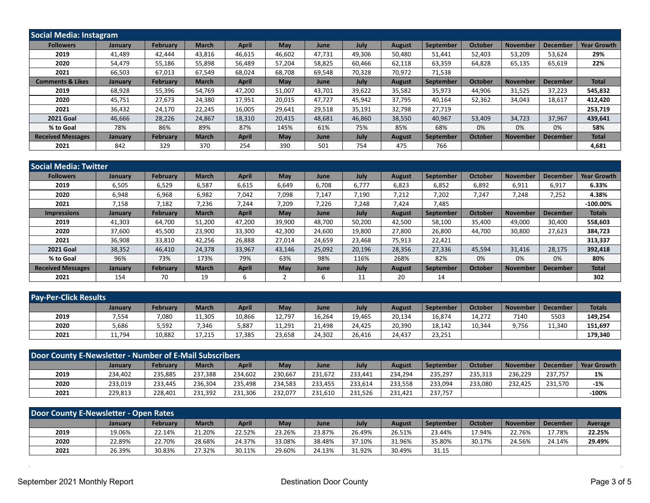| <b>Social Media: Instagram</b> |                |                 |              |              |            |             |             |               |                  |                |                 |                 |                    |
|--------------------------------|----------------|-----------------|--------------|--------------|------------|-------------|-------------|---------------|------------------|----------------|-----------------|-----------------|--------------------|
| <b>Followers</b>               | January        | <b>February</b> | <b>March</b> | <b>April</b> | May        | June        | <b>July</b> | <b>August</b> | September        | <b>October</b> | <b>November</b> | <b>December</b> | <b>Year Growth</b> |
| 2019                           | 41.489         | 42.444          | 43,816       | 46,615       | 46,602     | 47.731      | 49,306      | 50,480        | 51.441           | 52,403         | 53,209          | 53,624          | 29%                |
| 2020                           | 54,479         | 55,186          | 55,898       | 56,489       | 57,204     | 58,825      | 60.466      | 62,118        | 63,359           | 64,828         | 65,135          | 65,619          | 22%                |
| 2021                           | 66,503         | 67,013          | 67,549       | 68,024       | 68,708     | 69,548      | 70,328      | 70,972        | 71,538           |                |                 |                 |                    |
| <b>Comments &amp; Likes</b>    | January        | <b>February</b> | <b>March</b> | <b>April</b> | May        | June        | July        | <b>August</b> | September        | <b>October</b> | <b>November</b> | <b>December</b> | <b>Total</b>       |
| 2019                           | 68,928         | 55,396          | 54,769       | 47,200       | 51,007     | 43,701      | 39,622      | 35,582        | 35,973           | 44,906         | 31,525          | 37,223          | 545,832            |
| 2020                           | 45,751         | 27,673          | 24,380       | 17,951       | 20,015     | 47.727      | 45,942      | 37,795        | 40.164           | 52,362         | 34,043          | 18,617          | 412,420            |
| 2021                           | 36,432         | 24,170          | 22,245       | 16,005       | 29,641     | 29,518      | 35,191      | 32,798        | 27,719           |                |                 |                 | 253,719            |
| <b>2021 Goal</b>               | 46,666         | 28,226          | 24,867       | 18,310       | 20,415     | 48,681      | 46,860      | 38,550        | 40,967           | 53,409         | 34,723          | 37,967          | 439,641            |
| % to Goal                      | 78%            | 86%             | 89%          | 87%          | 145%       | 61%         | 75%         | 85%           | 68%              | 0%             | 0%              | 0%              | 58%                |
| <b>Received Messages</b>       | <b>January</b> | <b>February</b> | <b>March</b> | <b>April</b> | <b>May</b> | <b>June</b> | <b>July</b> | <b>August</b> | <b>September</b> | <b>October</b> | <b>November</b> | <b>December</b> | <b>Total</b>       |
| 2021                           | 842            | 329             | 370          | 254          | 390        | 501         | 754         | 475           | 766              |                |                 |                 | 4,681              |

| <b>Social Media: Twitter</b> |                |                 |              |              |            |             |        |               |                  |                |                 |                 |                    |
|------------------------------|----------------|-----------------|--------------|--------------|------------|-------------|--------|---------------|------------------|----------------|-----------------|-----------------|--------------------|
| <b>Followers</b>             | January        | <b>February</b> | <b>March</b> | <b>April</b> | <b>May</b> | June        | July   | <b>August</b> | <b>September</b> | <b>October</b> | <b>November</b> | <b>December</b> | <b>Year Growth</b> |
| 2019                         | 6,505          | 6,529           | 6,587        | 6,615        | 6,649      | 6.708       | 6.777  | 6,823         | 6,852            | 6.892          | 6,911           | 6,917           | 6.33%              |
| 2020                         | 6,948          | 6,968           | 6,982        | 7,042        | 7,098      | 7,147       | 7,190  | 7,212         | 7,202            | 7,247          | 7,248           | 7,252           | 4.38%              |
| 2021                         | 7,158          | 7,182           | 7,236        | 7,244        | 7,209      | 7,226       | 7,248  | 7,424         | 7,485            |                |                 |                 | $-100.00\%$        |
| <b>Impressions</b>           | <b>January</b> | <b>February</b> | <b>March</b> | <b>April</b> | <b>May</b> | June        | July   | <b>August</b> | <b>September</b> | <b>October</b> | <b>November</b> | <b>December</b> | <b>Totals</b>      |
| 2019                         | 41,303         | 64,700          | 51,200       | 47,200       | 39,900     | 48,700      | 50,200 | 42,500        | 58,100           | 35,400         | 49,000          | 30,400          | 558,603            |
| 2020                         | 37,600         | 45,500          | 23,900       | 33,300       | 42,300     | 24,600      | 19,800 | 27,800        | 26,800           | 44,700         | 30,800          | 27,623          | 384,723            |
| 2021                         | 36,908         | 33,810          | 42,256       | 26,888       | 27,014     | 24,659      | 23,468 | 75,913        | 22,421           |                |                 |                 | 313,337            |
| <b>2021 Goal</b>             | 38,352         | 46,410          | 24,378       | 33,967       | 43,146     | 25,092      | 20,196 | 28,356        | 27,336           | 45,594         | 31,416          | 28,175          | 392,418            |
| % to Goal                    | 96%            | 73%             | 173%         | 79%          | 63%        | 98%         | 116%   | 268%          | 82%              | 0%             | 0%              | 0%              | 80%                |
| <b>Received Messages</b>     | <b>January</b> | <b>February</b> | <b>March</b> | <b>April</b> | <b>May</b> | <b>June</b> | July   | <b>August</b> | <b>September</b> | <b>October</b> | <b>November</b> | <b>December</b> | <b>Total</b>       |
| 2021                         | 154            | 70              | 19           | 6            |            |             | 11     | 20            | 14               |                |                 |                 | 302                |

| <b>Pay-Per-Click Results</b> |                |          |              |              |        |             |        |               |           |         |                 |                 |               |
|------------------------------|----------------|----------|--------------|--------------|--------|-------------|--------|---------------|-----------|---------|-----------------|-----------------|---------------|
|                              | <b>January</b> | February | <b>March</b> | <b>April</b> | May    | <b>June</b> | July   | <b>August</b> | September | October | <b>November</b> | <b>December</b> | <b>Totals</b> |
| 2019                         | 7,554          | 7,080    | 11,305       | 10,866       | 12,797 | 16,264      | 19,465 | 20,134        | 16,874    | 14,272  | 7140            | 5503            | 149,254       |
| 2020                         | 5,686          | 5,592    | 7,346        | 5,887        | 11,291 | 21,498      | 24,425 | 20,390        | 18,142    | 10,344  | 9,756           | 11,340          | 151,697       |
| 2021                         | 11,794         | 10,882   | 17,215       | 17,385       | 23,658 | 24,302      | 26,416 | 24,437        | 23,251    |         |                 |                 | 179,340       |

| Door County E-Newsletter - Number of E-Mail Subscribers |                |                 |              |              |         |         |         |               |           |                |                 |                 |             |
|---------------------------------------------------------|----------------|-----------------|--------------|--------------|---------|---------|---------|---------------|-----------|----------------|-----------------|-----------------|-------------|
|                                                         | <b>January</b> | <b>February</b> | <b>March</b> | <b>April</b> | May     | June    | July    | <b>August</b> | September | <b>October</b> | <b>November</b> | <b>December</b> | Year Growth |
| 2019                                                    | 234,402        | 235.885         | 237.388      | 234.602      | 230,667 | 231.672 | 233.441 | 234,294       | 235,297   | 235,313        | 236.229         | 237.757         | 1%          |
| 2020                                                    | 233,019        | 233.445         | 236.304      | 235.498      | 234.583 | 233.455 | 233.614 | 233,558       | 233.094   | 233,080        | 232.425         | 231,570         | $-1%$       |
| 2021                                                    | 229,813        | 228.401         | 231.392      | 231,306      | 232.077 | 231,610 | 231,526 | 231,421       | 237,757   |                |                 |                 | $-100%$     |

| Door County E-Newsletter - Open Rates |         |                 |              |              |        |        |        |               |                  |         |                 |                 |         |
|---------------------------------------|---------|-----------------|--------------|--------------|--------|--------|--------|---------------|------------------|---------|-----------------|-----------------|---------|
|                                       | Januarv | <b>February</b> | <b>March</b> | <b>April</b> | May    | June   | July   | <b>August</b> | <b>September</b> | October | <b>November</b> | <b>December</b> | Average |
| 2019                                  | 19.06%  | 22.14%          | 21.20%       | 22.52%       | 23.26% | 23.87% | 26.49% | 26.51%        | 23.44%           | 17.94%  | 22.76%          | 17.78%          | 22.25%  |
| 2020                                  | 22.89%  | 22.70%          | 28.68%       | 24.37%       | 33.08% | 38.48% | 37.10% | 31.96%        | 35.80%           | 30.17%  | 24.56%          | 24.14%          | 29.49%  |
| 2021                                  | 26.39%  | 30.83%          | 27.32%       | 30.11%       | 29.60% | 24.13% | 31.92% | 30.49%        | 31.15            |         |                 |                 |         |

 $\bar{z}$ 

L.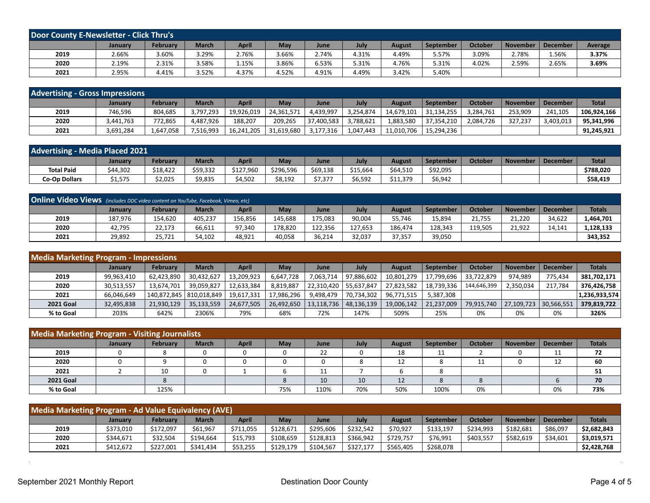| Door County E-Newsletter - Click Thru's |         |                 |              |              |       |             |       |               |           |                |          |                 |         |
|-----------------------------------------|---------|-----------------|--------------|--------------|-------|-------------|-------|---------------|-----------|----------------|----------|-----------------|---------|
|                                         | Januarv | <b>February</b> | <b>March</b> | <b>April</b> | May   | <b>June</b> | July  | <b>August</b> | September | <b>October</b> | November | <b>December</b> | Average |
| 2019                                    | 2.66%   | 3.60%           | 3.29%        | 2.76%        | .66%  | 2.74%       | 4.31% | 4.49%         | 5.57%     | 3.09%          | 2.78%    | 1.56%           | 3.37%   |
| 2020                                    | 2.19%   | 2.31%           | 3.58%        | 1.15%        | 3.86% | 6.53%       | 5.31% | 4.76%         | 5.31%     | 4.02%          | 2.59%    | 2.65%           | 3.69%   |
| 2021                                    | 2.95%   | 4.41%           | 3.52%        | 4.37%        | 4.52% | 4.91%       | 4.49% | 3.42%         | 5.40%     |                |          |                 |         |

| <b>Advertising - Gross Impressions</b> |                |                 |              |            |            |             |           |                   |            |                |                 |                 |              |
|----------------------------------------|----------------|-----------------|--------------|------------|------------|-------------|-----------|-------------------|------------|----------------|-----------------|-----------------|--------------|
|                                        | <b>January</b> | <b>February</b> | <b>March</b> | April      | May        | <b>June</b> | July      | <b>August</b>     | September  | <b>October</b> | <b>November</b> | <b>December</b> | <b>Total</b> |
| 2019                                   | 746,596        | 804,685         | 3,797,293    | 19,926,019 | 24.361.571 | .439.997    | 3,254,874 | 14,679,101        | 31,134,255 | ,284,761       | 253,909         | 241,105         | 106.924.166  |
| 2020                                   | 3.441.763      | 772.865         | 4.487.926    | 188.207    | 209.265    | 37,400,583  | 3.788.621 | l <b>,883,580</b> | 37.354.210 | 2,084,726      | 327.237         | 3,403,013       | 95.341.996   |
| 2021                                   | 3,691,284      | 1,647,058       | 7,516,993    | 16,241,205 | 31.619.680 | 3,177,316   | 1.047.443 | 11.010.706        | 15.294.236 |                |                 |                 | 91.245.921   |

| <b>Advertising - Media Placed 2021</b> |          |          |              |              |           |          |          |               |           |                |                 |          |              |
|----------------------------------------|----------|----------|--------------|--------------|-----------|----------|----------|---------------|-----------|----------------|-----------------|----------|--------------|
|                                        | January  | February | <b>March</b> | <b>April</b> | May       | June     | July     | <b>August</b> | September | <b>October</b> | <b>November</b> | December | <b>Total</b> |
| <b>Total Paid</b>                      | \$44,302 | \$18,422 | \$59,332     | \$127,960    | \$296,596 | \$69,138 | \$15,664 | \$64,510      | \$92,095  |                |                 |          | \$788,020    |
| <b>Co-Op Dollars</b>                   | \$1,575  | \$2,025  | \$9,835      | \$4,502      | \$8,192   | \$7,377  | \$6,592  | \$11,379      | \$6,942   |                |                 |          | \$58,419     |

| <b>Online Video Views</b> (includes DDC video content on YouTube, Facebook, Vimeo, etc) |                |                 |              |         |            |         |         |               |                  |                |                 |                 |               |
|-----------------------------------------------------------------------------------------|----------------|-----------------|--------------|---------|------------|---------|---------|---------------|------------------|----------------|-----------------|-----------------|---------------|
|                                                                                         | <b>January</b> | <b>February</b> | <b>March</b> | April   | <b>May</b> | June    | July    | <b>August</b> | <b>September</b> | <b>October</b> | <b>November</b> | <b>December</b> | <b>Totals</b> |
| 2019                                                                                    | 187.976        | 154,620         | 405,237      | 156,856 | 145,688    | 175,083 | 90,004  | 55,746        | 15,894           | 21.755         | 21.220          | 34,622          | L,464,701     |
| 2020                                                                                    | 42,795         | 22,173          | 66.611       | 97.340  | 178.820    | 122.356 | 127.653 | 186.474       | 128,343          | 119.505        | 21.922          | 14.141          | .,128,133     |
| 2021                                                                                    | 29,892         | 25,721          | 54,102       | 48,921  | 40,058     | 36,214  | 32,037  | 37,357        | 39,050           |                |                 |                 | 343,352       |

| <b>Media Marketing Program - Impressions</b> |                |                           |              |            |            |            |                         |               |            |                |                 |                 |               |
|----------------------------------------------|----------------|---------------------------|--------------|------------|------------|------------|-------------------------|---------------|------------|----------------|-----------------|-----------------|---------------|
|                                              | <b>January</b> | <b>February</b>           | <b>March</b> | April      | May        | June       | July                    | <b>August</b> | September  | <b>October</b> | <b>November</b> | <b>December</b> | <b>Totals</b> |
| 2019                                         | 99,963,410     | 62,423,890                | 30,432,627   | 13,209,923 | 6,647,728  | 7.063.714  | 97,886,602              | 10,801,279    | 17,799,696 | 33.722.879     | 974.989         | 775.434         | 381,702,171   |
| 2020                                         | 30,513,557     | 13.674.701                | 39.059.827   | 12,633,384 | 8,819,887  | 22,310,420 | 55.637.847              | 27.823.582    | 18.739.336 | 144.646.399    | 2,350,034       | 217.784         | 376,426,758   |
| 2021                                         | 66,046,649     | 140,872,845   810,018,849 |              | 19,617,331 | 17,986,296 | 9,498,479  | 70.734.302              | 96,771,515    | 5,387,308  |                |                 |                 | 1,236,933,574 |
| <b>2021 Goal</b>                             | 32,495,838     | 21,930,129                | 35,133,559   | 24,677,505 | 26,492,650 |            | 13,118,736   48,136,139 | 19.006.142    | 21,237,009 | 79,915,740     | 27,109,723      | 30,566,551      | 379,819,722   |
| % to Goal                                    | 203%           | 642%                      | 2306%        | 79%        | 68%        | 72%        | 147%                    | 509%          | 25%        | 0%             | 0%              | 0%              | 326%          |

| <b>Media Marketing Program - Visiting Journalists</b> |                |          |              |              |     |      |      |               |           |                |                 |                 |               |
|-------------------------------------------------------|----------------|----------|--------------|--------------|-----|------|------|---------------|-----------|----------------|-----------------|-----------------|---------------|
|                                                       | <b>January</b> | February | <b>March</b> | <b>April</b> | May | June | July | <b>August</b> | September | <b>October</b> | <b>November</b> | <b>December</b> | <b>Totals</b> |
| 2019                                                  |                |          | 0            |              |     | 22   |      | 18            | 11        |                |                 | ᆠᆂ              | 72            |
| 2020                                                  |                |          | 0            |              |     |      |      |               |           |                |                 | 12              | 60            |
| 2021                                                  |                | 10       | 0            |              |     |      |      |               |           |                |                 |                 | 51            |
| <b>2021 Goal</b>                                      |                |          |              |              |     | 10   | 10   | 12            |           |                |                 |                 | 70            |
| % to Goal                                             |                | 125%     |              |              | 75% | 110% | 70%  | 50%           | 100%      | 0%             |                 | 0%              | 73%           |

| Media Marketing Program - Ad Value Equivalency (AVE) |           |                 |              |              |           |           |           |           |           |                |           |                 |               |
|------------------------------------------------------|-----------|-----------------|--------------|--------------|-----------|-----------|-----------|-----------|-----------|----------------|-----------|-----------------|---------------|
|                                                      | January   | <b>February</b> | <b>March</b> | <b>April</b> | May       | June      | July      | August    | September | <b>October</b> | November  | <b>December</b> | <b>Totals</b> |
| 2019                                                 | \$373,010 | \$172,097       | \$61.967     | \$711,055    | \$128.671 | \$295,606 | \$232,542 | \$70,927  | \$133,197 | \$234.993      | \$182.681 | \$86,097        | \$2,682,843   |
| 2020                                                 | \$344.671 | \$32,504        | \$194.664    | \$15,793     | \$108,659 | \$128.813 | \$366.942 | \$729.757 | \$76,991  | \$403.557      | \$582.619 | \$34,601        | \$3,019,571   |
| 2021                                                 | \$412,672 | \$227,001       | \$341,434    | \$53,255     | \$129,179 | \$104,567 | \$327,177 | \$565,405 | \$268,078 |                |           |                 | \$2,428,768   |

 $\sim$